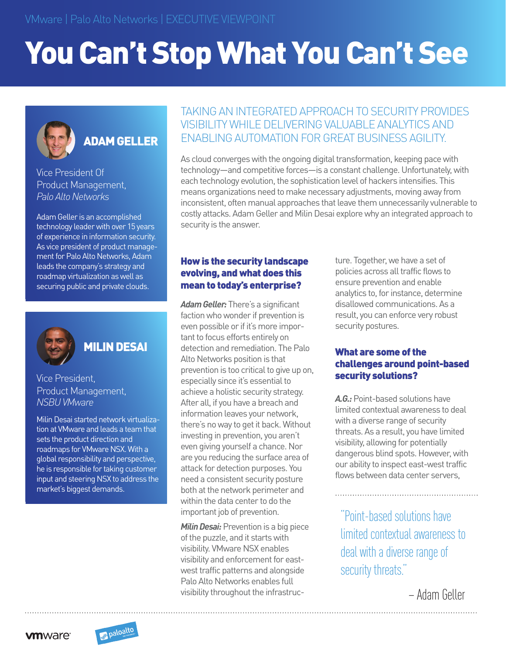# You Can't Stop What You Can't See



# ADAM GELLER

Vice President Of Product Management, *Palo Alto Networks*

Adam Geller is an accomplished technology leader with over 15 years of experience in information security. As vice president of product management for Palo Alto Networks, Adam leads the company's strategy and roadmap virtualization as well as securing public and private clouds.



## MILIN DESAI

Vice President, Product Management, *NSBU VMware*

Milin Desai started network virtualization at VMware and leads a team that sets the product direction and roadmaps for VMware NSX. With a global responsibility and perspective, he is responsible for taking customer input and steering NSX to address the market's biggest demands.

### TAKING AN INTEGRATED APPROACH TO SECURITY PROVIDES VISIBILITY WHILE DELIVERING VALUABLE ANALYTICS AND ENABLING AUTOMATION FOR GREAT BUSINESS AGILITY.

As cloud converges with the ongoing digital transformation, keeping pace with technology—and competitive forces—is a constant challenge. Unfortunately, with each technology evolution, the sophistication level of hackers intensifies. This means organizations need to make necessary adjustments, moving away from inconsistent, often manual approaches that leave them unnecessarily vulnerable to costly attacks. Adam Geller and Milin Desai explore why an integrated approach to security is the answer.

#### How is the security landscape evolving, and what does this mean to today's enterprise?

*Adam Geller:* There's a significant faction who wonder if prevention is even possible or if it's more important to focus efforts entirely on detection and remediation. The Palo Alto Networks position is that prevention is too critical to give up on, especially since it's essential to achieve a holistic security strategy. After all, if you have a breach and information leaves your network, there's no way to get it back. Without investing in prevention, you aren't even giving yourself a chance. Nor are you reducing the surface area of attack for detection purposes. You need a consistent security posture both at the network perimeter and within the data center to do the important job of prevention.

*Milin Desai:* Prevention is a big piece of the puzzle, and it starts with visibility. VMware NSX enables visibility and enforcement for eastwest traffic patterns and alongside Palo Alto Networks enables full visibility throughout the infrastructure. Together, we have a set of policies across all traffic flows to ensure prevention and enable analytics to, for instance, determine disallowed communications. As a result, you can enforce very robust security postures.

#### What are some of the challenges around point-based security solutions?

*A.G.:* Point-based solutions have limited contextual awareness to deal with a diverse range of security threats. As a result, you have limited visibility, allowing for potentially dangerous blind spots. However, with our ability to inspect east-west traffic flows between data center servers,

"Point-based solutions have limited contextual awareness to deal with a diverse range of security threats."

– Adam Geller

**vm**ware<sup>®</sup>